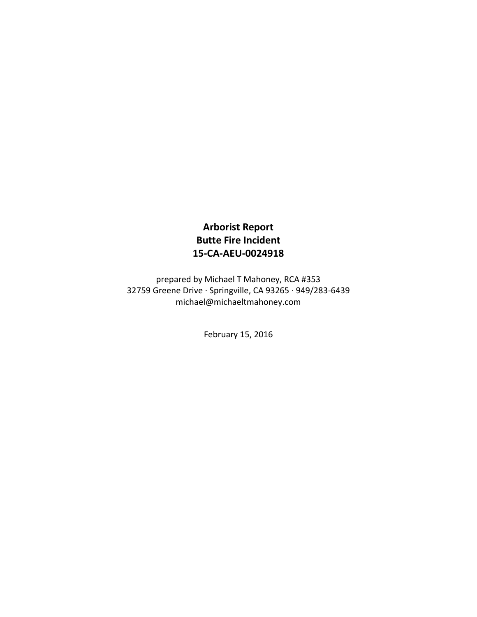## **Arborist Report Butte Fire Incident 15-CA-AEU-0024918**

prepared by Michael T Mahoney, RCA #353 32759 Greene Drive · Springville, CA 93265 · 949/283-6439 michael@michaeltmahoney.com

February 15, 2016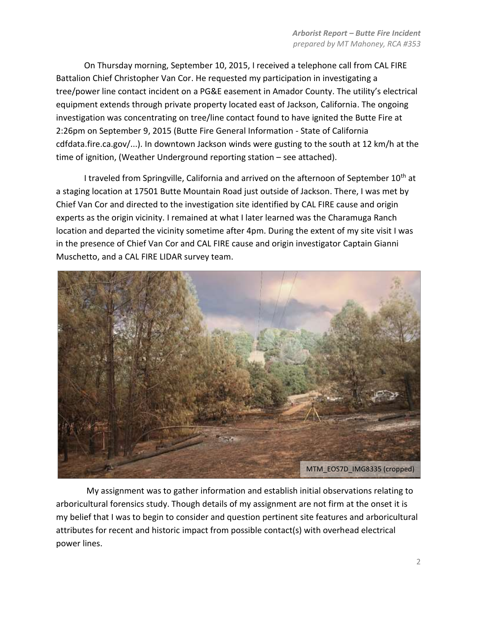On Thursday morning, September 10, 2015, I received a telephone call from CAL FIRE Battalion Chief Christopher Van Cor. He requested my participation in investigating a tree/power line contact incident on a PG&E easement in Amador County. The utility's electrical equipment extends through private property located east of Jackson, California. The ongoing investigation was concentrating on tree/line contact found to have ignited the Butte Fire at 2:26pm on September 9, 2015 (Butte Fire General Information - State of California cdfdata.fire.ca.gov/...). In downtown Jackson winds were gusting to the south at 12 km/h at the time of ignition, (Weather Underground reporting station – see attached).

I traveled from Springville, California and arrived on the afternoon of September  $10^{th}$  at a staging location at 17501 Butte Mountain Road just outside of Jackson. There, I was met by Chief Van Cor and directed to the investigation site identified by CAL FIRE cause and origin experts as the origin vicinity. I remained at what I later learned was the Charamuga Ranch location and departed the vicinity sometime after 4pm. During the extent of my site visit I was in the presence of Chief Van Cor and CAL FIRE cause and origin investigator Captain Gianni Muschetto, and a CAL FIRE LIDAR survey team.



My assignment was to gather information and establish initial observations relating to arboricultural forensics study. Though details of my assignment are not firm at the onset it is my belief that I was to begin to consider and question pertinent site features and arboricultural attributes for recent and historic impact from possible contact(s) with overhead electrical power lines.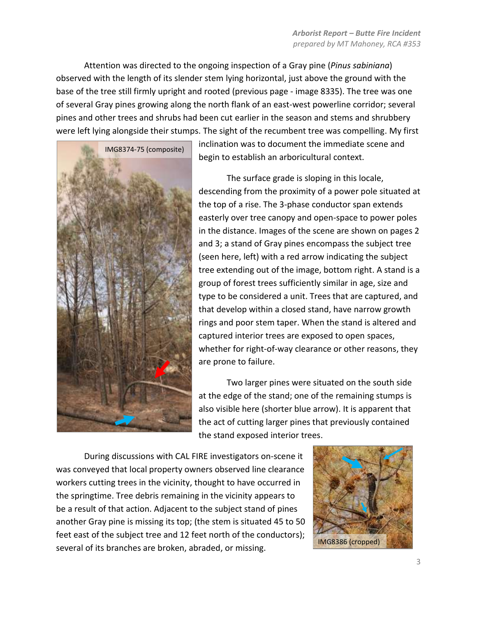Attention was directed to the ongoing inspection of a Gray pine (*Pinus sabiniana*) observed with the length of its slender stem lying horizontal, just above the ground with the base of the tree still firmly upright and rooted (previous page - image 8335). The tree was one of several Gray pines growing along the north flank of an east-west powerline corridor; several pines and other trees and shrubs had been cut earlier in the season and stems and shrubbery were left lying alongside their stumps. The sight of the recumbent tree was compelling. My first



inclination was to document the immediate scene and begin to establish an arboricultural context.

The surface grade is sloping in this locale, descending from the proximity of a power pole situated at the top of a rise. The 3-phase conductor span extends easterly over tree canopy and open-space to power poles in the distance. Images of the scene are shown on pages 2 and 3; a stand of Gray pines encompass the subject tree (seen here, left) with a red arrow indicating the subject tree extending out of the image, bottom right. A stand is a group of forest trees sufficiently similar in age, size and type to be considered a unit. Trees that are captured, and that develop within a closed stand, have narrow growth rings and poor stem taper. When the stand is altered and captured interior trees are exposed to open spaces, whether for right-of-way clearance or other reasons, they are prone to failure.

Two larger pines were situated on the south side at the edge of the stand; one of the remaining stumps is also visible here (shorter blue arrow). It is apparent that the act of cutting larger pines that previously contained the stand exposed interior trees.

During discussions with CAL FIRE investigators on-scene it was conveyed that local property owners observed line clearance workers cutting trees in the vicinity, thought to have occurred in the springtime. Tree debris remaining in the vicinity appears to be a result of that action. Adjacent to the subject stand of pines another Gray pine is missing its top; (the stem is situated 45 to 50 feet east of the subject tree and 12 feet north of the conductors); several of its branches are broken, abraded, or missing.

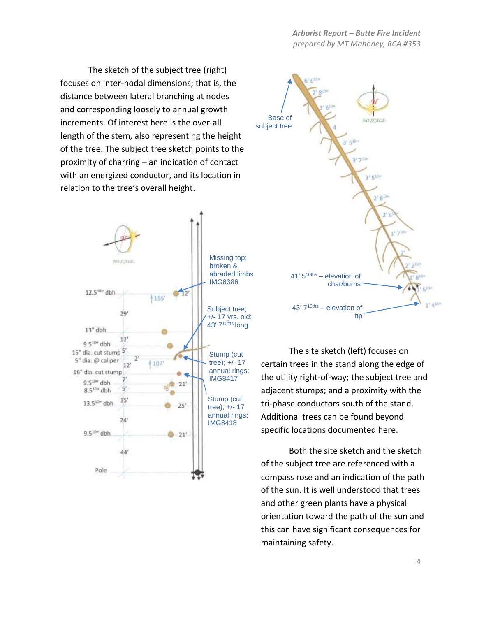of the tree. The subject tree sketch points to the The sketch of the subject tree (right) focuses on inter-nodal dimensions; that is, the distance between lateral branching at nodes and corresponding loosely to annual growth increments. Of interest here is the over-all length of the stem, also representing the height proximity of charring – an indication of contact with an energized conductor, and its location in relation to the tree's overall height.





The site sketch (left) focuses on certain trees in the stand along the edge of the utility right-of-way; the subject tree and adjacent stumps; and a proximity with the tri-phase conductors south of the stand. Additional trees can be found beyond specific locations documented here.

Both the site sketch and the sketch of the subject tree are referenced with a compass rose and an indication of the path of the sun. It is well understood that trees and other green plants have a physical orientation toward the path of the sun and this can have significant consequences for maintaining safety.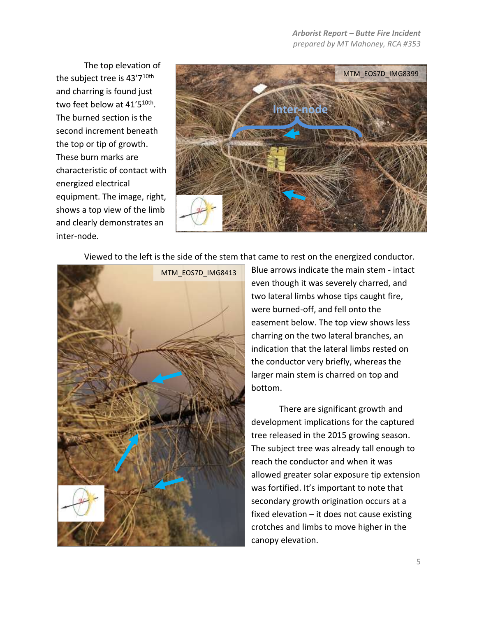The top elevation of the subject tree is 43'7<sup>10th</sup> and charring is found just two feet below at 41'5<sup>10th</sup>. The burned section is the second increment beneath the top or tip of growth. These burn marks are characteristic of contact with energized electrical equipment. The image, right, shows a top view of the limb and clearly demonstrates an inter-node.



Viewed to the left is the side of the stem that came to rest on the energized conductor.



Blue arrows indicate the main stem - intact even though it was severely charred, and two lateral limbs whose tips caught fire, were burned-off, and fell onto the easement below. The top view shows less charring on the two lateral branches, an indication that the lateral limbs rested on the conductor very briefly, whereas the larger main stem is charred on top and bottom.

There are significant growth and development implications for the captured tree released in the 2015 growing season. The subject tree was already tall enough to reach the conductor and when it was allowed greater solar exposure tip extension was fortified. It's important to note that secondary growth origination occurs at a fixed elevation – it does not cause existing crotches and limbs to move higher in the canopy elevation.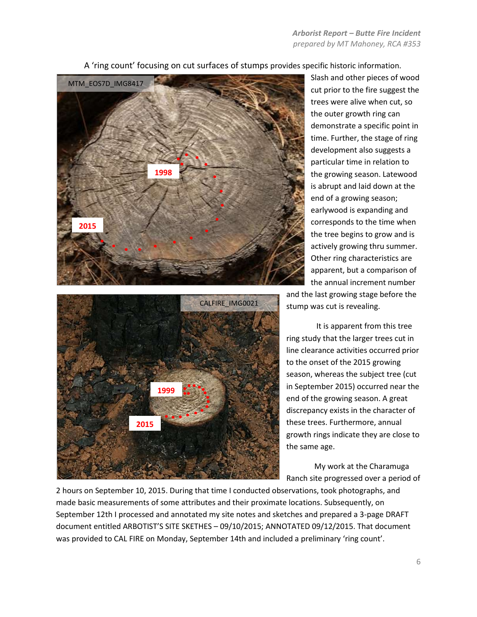

A 'ring count' focusing on cut surfaces of stumps provides specific historic information.



Slash and other pieces of wood cut prior to the fire suggest the trees were alive when cut, so the outer growth ring can demonstrate a specific point in time. Further, the stage of ring development also suggests a particular time in relation to the growing season. Latewood is abrupt and laid down at the end of a growing season; earlywood is expanding and corresponds to the time when the tree begins to grow and is actively growing thru summer. Other ring characteristics are apparent, but a comparison of the annual increment number

and the last growing stage before the stump was cut is revealing.

It is apparent from this tree ring study that the larger trees cut in line clearance activities occurred prior to the onset of the 2015 growing season, whereas the subject tree (cut in September 2015) occurred near the end of the growing season. A great discrepancy exists in the character of these trees. Furthermore, annual growth rings indicate they are close to the same age.

My work at the Charamuga Ranch site progressed over a period of

2 hours on September 10, 2015. During that time I conducted observations, took photographs, and made basic measurements of some attributes and their proximate locations. Subsequently, on September 12th I processed and annotated my site notes and sketches and prepared a 3-page DRAFT document entitled ARBOTIST'S SITE SKETHES – 09/10/2015; ANNOTATED 09/12/2015. That document was provided to CAL FIRE on Monday, September 14th and included a preliminary 'ring count'.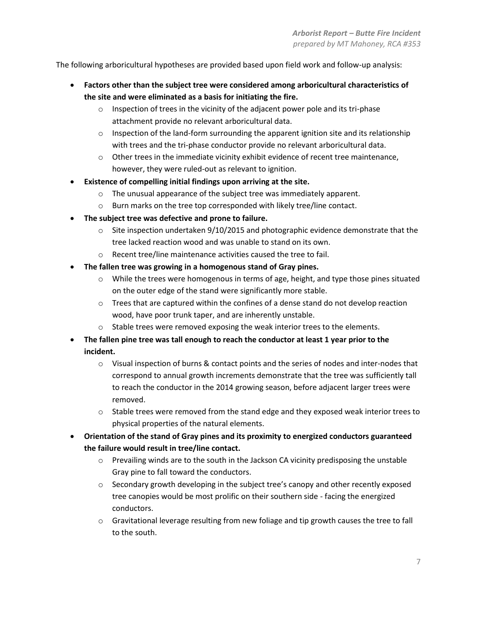The following arboricultural hypotheses are provided based upon field work and follow-up analysis:

- **Factors other than the subject tree were considered among arboricultural characteristics of the site and were eliminated as a basis for initiating the fire.**
	- $\circ$  Inspection of trees in the vicinity of the adjacent power pole and its tri-phase attachment provide no relevant arboricultural data.
	- $\circ$  Inspection of the land-form surrounding the apparent ignition site and its relationship with trees and the tri-phase conductor provide no relevant arboricultural data.
	- $\circ$  Other trees in the immediate vicinity exhibit evidence of recent tree maintenance, however, they were ruled-out as relevant to ignition.
- **Existence of compelling initial findings upon arriving at the site.**
	- o The unusual appearance of the subject tree was immediately apparent.
	- o Burn marks on the tree top corresponded with likely tree/line contact.
- **The subject tree was defective and prone to failure.**
	- $\circ$  Site inspection undertaken 9/10/2015 and photographic evidence demonstrate that the tree lacked reaction wood and was unable to stand on its own.
	- o Recent tree/line maintenance activities caused the tree to fail.
- **The fallen tree was growing in a homogenous stand of Gray pines.**
	- o While the trees were homogenous in terms of age, height, and type those pines situated on the outer edge of the stand were significantly more stable.
	- $\circ$  Trees that are captured within the confines of a dense stand do not develop reaction wood, have poor trunk taper, and are inherently unstable.
	- o Stable trees were removed exposing the weak interior trees to the elements.
- **The fallen pine tree was tall enough to reach the conductor at least 1 year prior to the incident.** 
	- $\circ$  Visual inspection of burns & contact points and the series of nodes and inter-nodes that correspond to annual growth increments demonstrate that the tree was sufficiently tall to reach the conductor in the 2014 growing season, before adjacent larger trees were removed.
	- $\circ$  Stable trees were removed from the stand edge and they exposed weak interior trees to physical properties of the natural elements.
- **Orientation of the stand of Gray pines and its proximity to energized conductors guaranteed the failure would result in tree/line contact.** 
	- $\circ$  Prevailing winds are to the south in the Jackson CA vicinity predisposing the unstable Gray pine to fall toward the conductors.
	- $\circ$  Secondary growth developing in the subject tree's canopy and other recently exposed tree canopies would be most prolific on their southern side - facing the energized conductors.
	- $\circ$  Gravitational leverage resulting from new foliage and tip growth causes the tree to fall to the south.